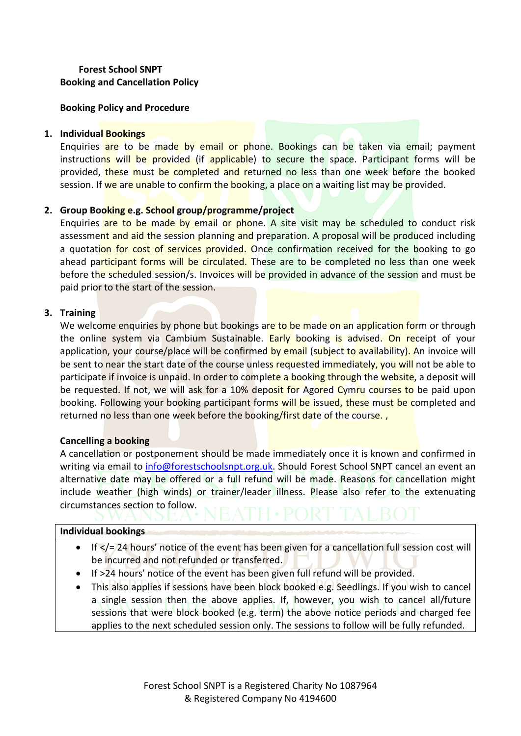# **Forest School SNPT Booking and Cancellation Policy**

**Booking Policy and Procedure** 

### **1. Individual Bookings**

Enquiries are to be made by email or phone. Bookings can be taken via email; payment instructions will be provided (if applicable) to secure the space. Participant forms will be provided, these must be completed and returned no less than one week before the booked session. If we are unable to confirm the booking, a place on a waiting list may be provided.

# **2. Group Booking e.g. School group/programme/project**

Enquiries are to be made by email or phone. A site visit may be scheduled to conduct risk assessment and aid the session planning and preparation. A proposal will be produced including a quotation for cost of services provided. Once confirmation received for the booking to go ahead participant forms will be circulated. These are to be completed no less than one week before the scheduled session/s. Invoices will be provided in advance of the session and must be paid prior to the start of the session.

# **3. Training**

We welcome enquiries by phone but bookings are to be made on an application form or through the online system via Cambium Sustainable. Early booking is advised. On receipt of your application, your course/place will be confirmed by email (subject to availability). An invoice will be sent to near the start date of the course unless requested immediately, you will not be able to participate if invoice is unpaid. In order to complete a booking through the website, a deposit will be requested. If not, we will ask for a 10% deposit for Agored Cymru courses to be paid upon booking. Following your booking participant forms will be issued, these must be completed and returned no less than one week before the booking/first date of the course.,

### **Cancelling a booking**

A cancellation or postponement should be made immediately once it is known and confirmed in writing via email to [info@forestschoolsnpt.org.uk.](mailto:info@forestschoolsnpt.org.uk) Should Forest School SNPT cancel an event an alternative date may be offered or a full refund will be made. Reasons for cancellation might include weather (high winds) or trainer/leader illness. Please also refer to the extenuating circumstances section to follow.

### **Individual bookings**

- $\bullet$  If  $\lt/$  = 24 hours' notice of the event has been given for a cancellation full session cost will be incurred and not refunded or transferred.
- If >24 hours' notice of the event has been given full refund will be provided.
- This also applies if sessions have been block booked e.g. Seedlings. If you wish to cancel a single session then the above applies. If, however, you wish to cancel all/future sessions that were block booked (e.g. term) the above notice periods and charged fee applies to the next scheduled session only. The sessions to follow will be fully refunded.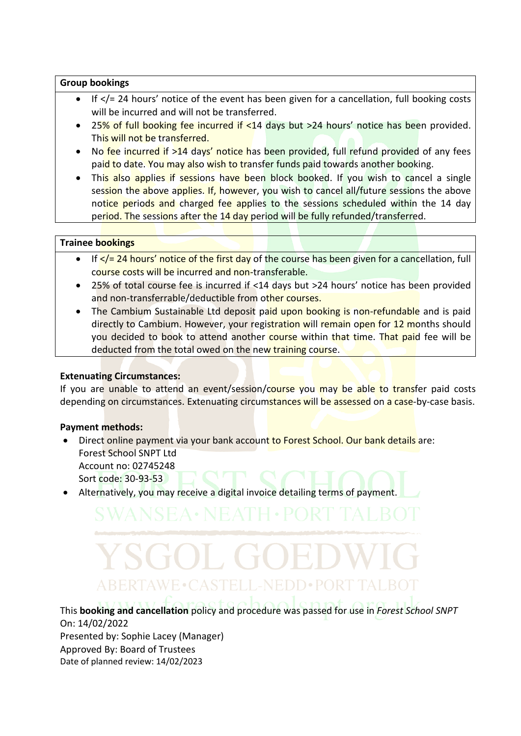### **Group bookings**

- If </= 24 hours' notice of the event has been given for a cancellation, full booking costs will be incurred and will not be transferred.
- 25% of full booking fee incurred if <14 days but >24 hours' notice has been provided. This will not be transferred.
- No fee incurred if >14 days' notice has been provided, full refund provided of any fees paid to date. You may also wish to transfer funds paid towards another booking.
- This also applies if sessions have been block booked. If you wish to cancel a single session the above applies. If, however, you wish to cancel all/future sessions the above notice periods and charged fee applies to the sessions scheduled within the 14 day period. The sessions after the 14 day period will be fully refunded/transferred.

# **Trainee bookings**

- If  $\leq$  / = 24 hours' notice of the first day of the course has been given for a cancellation, full course costs will be incurred and non-transferable.
- 25% of total course fee is incurred if <14 days but >24 hours' notice has been provided and non-transferrable/deductible from other courses.
- The Cambium Sustainable Ltd deposit paid upon booking is non-refundable and is paid directly to Cambium. However, your registration will remain open for 12 months should you decided to book to attend another course within that time. That paid fee will be deducted from the total owed on the new training course.

# **Extenuating Circumstances:**

If you are unable to attend an event/session/course you may be able to transfer paid costs depending on circumstances. Extenuating circumstances will be assessed on a case-by-case basis.

# **Payment methods:**

- Direct online payment via your bank account to Forest School. Our bank details are: Forest School SNPT Ltd Account no: 02745248 Sort code: 30-93-53
- Alternatively, you may receive a digital invoice detailing terms of payment.

# ABERTAWE•CASTELL-NEDD•POR

This **booking and cancellation** policy and procedure was passed for use in *Forest School SNPT* On: 14/02/2022 Presented by: Sophie Lacey (Manager) Approved By: Board of Trustees Date of planned review: 14/02/2023